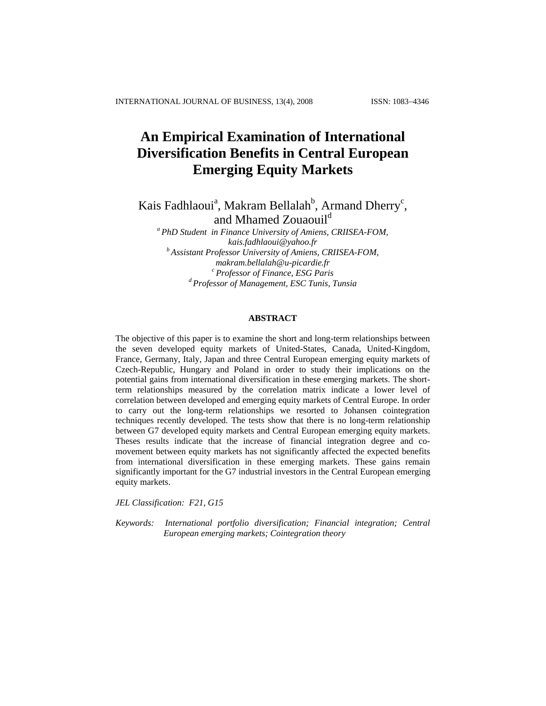# **An Empirical Examination of International Diversification Benefits in Central European Emerging Equity Markets**

Kais Fadhlaoui<sup>a</sup>, Makram Bellalah<sup>b</sup>, Armand Dherry<sup>c</sup>, and Mhamed Zouaouil<sup>d</sup>

*a PhD Student in Finance University of Amiens, CRIISEA-FOM, kais.fadhlaoui@yahoo.fr b Assistant Professor University of Amiens, CRIISEA-FOM, makram.bellalah@u-picardie.fr c Professor of Finance, ESG Paris d Professor of Management, ESC Tunis, Tunsia* 

# **ABSTRACT**

The objective of this paper is to examine the short and long-term relationships between the seven developed equity markets of United-States, Canada, United-Kingdom, France, Germany, Italy, Japan and three Central European emerging equity markets of Czech-Republic, Hungary and Poland in order to study their implications on the potential gains from international diversification in these emerging markets. The shortterm relationships measured by the correlation matrix indicate a lower level of correlation between developed and emerging equity markets of Central Europe. In order to carry out the long-term relationships we resorted to Johansen cointegration techniques recently developed. The tests show that there is no long-term relationship between G7 developed equity markets and Central European emerging equity markets. Theses results indicate that the increase of financial integration degree and comovement between equity markets has not significantly affected the expected benefits from international diversification in these emerging markets. These gains remain significantly important for the G7 industrial investors in the Central European emerging equity markets.

*JEL Classification: F21, G15* 

*Keywords: International portfolio diversification; Financial integration; Central European emerging markets; Cointegration theory*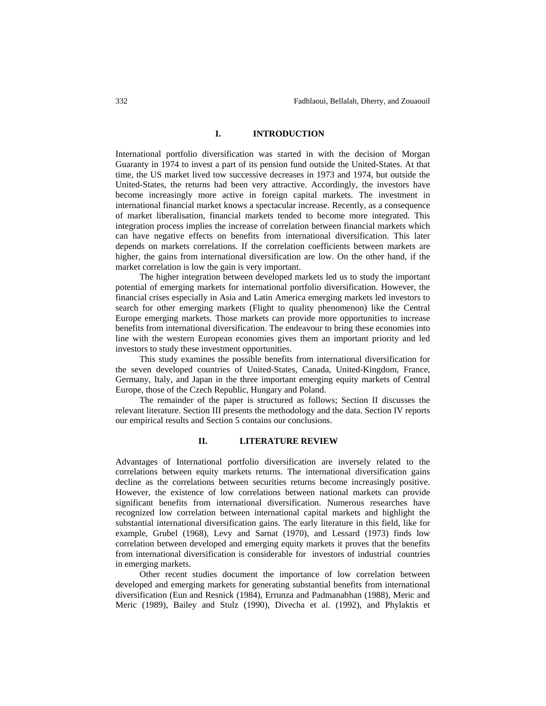# **I. INTRODUCTION**

International portfolio diversification was started in with the decision of Morgan Guaranty in 1974 to invest a part of its pension fund outside the United-States. At that time, the US market lived tow successive decreases in 1973 and 1974, but outside the United-States, the returns had been very attractive. Accordingly, the investors have become increasingly more active in foreign capital markets. The investment in international financial market knows a spectacular increase. Recently, as a consequence of market liberalisation, financial markets tended to become more integrated. This integration process implies the increase of correlation between financial markets which can have negative effects on benefits from international diversification. This later depends on markets correlations. If the correlation coefficients between markets are higher, the gains from international diversification are low. On the other hand, if the market correlation is low the gain is very important.

The higher integration between developed markets led us to study the important potential of emerging markets for international portfolio diversification. However, the financial crises especially in Asia and Latin America emerging markets led investors to search for other emerging markets (Flight to quality phenomenon) like the Central Europe emerging markets. Those markets can provide more opportunities to increase benefits from international diversification. The endeavour to bring these economies into line with the western European economies gives them an important priority and led investors to study these investment opportunities.

This study examines the possible benefits from international diversification for the seven developed countries of United-States, Canada, United-Kingdom, France, Germany, Italy, and Japan in the three important emerging equity markets of Central Europe, those of the Czech Republic, Hungary and Poland.

The remainder of the paper is structured as follows; Section II discusses the relevant literature. Section III presents the methodology and the data. Section IV reports our empirical results and Section 5 contains our conclusions.

# **II. LITERATURE REVIEW**

Advantages of International portfolio diversification are inversely related to the correlations between equity markets returns. The international diversification gains decline as the correlations between securities returns become increasingly positive. However, the existence of low correlations between national markets can provide significant benefits from international diversification. Numerous researches have recognized low correlation between international capital markets and highlight the substantial international diversification gains. The early literature in this field, like for example, Grubel (1968), Levy and Sarnat (1970), and Lessard (1973) finds low correlation between developed and emerging equity markets it proves that the benefits from international diversification is considerable for investors of industrial countries in emerging markets.

Other recent studies document the importance of low correlation between developed and emerging markets for generating substantial benefits from international diversification (Eun and Resnick (1984), Errunza and Padmanabhan (1988), Meric and Meric (1989), Bailey and Stulz (1990), Divecha et al. (1992), and Phylaktis et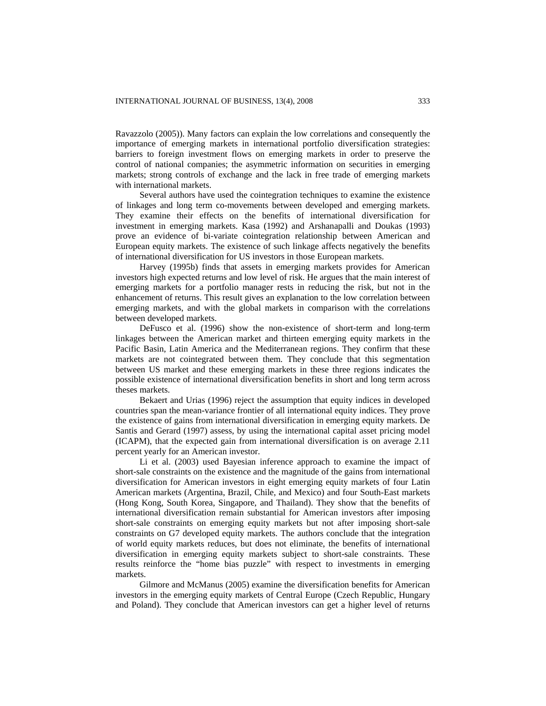Ravazzolo (2005)). Many factors can explain the low correlations and consequently the importance of emerging markets in international portfolio diversification strategies: barriers to foreign investment flows on emerging markets in order to preserve the control of national companies; the asymmetric information on securities in emerging markets; strong controls of exchange and the lack in free trade of emerging markets with international markets.

Several authors have used the cointegration techniques to examine the existence of linkages and long term co-movements between developed and emerging markets. They examine their effects on the benefits of international diversification for investment in emerging markets. Kasa (1992) and Arshanapalli and Doukas (1993) prove an evidence of bi-variate cointegration relationship between American and European equity markets. The existence of such linkage affects negatively the benefits of international diversification for US investors in those European markets.

Harvey (1995b) finds that assets in emerging markets provides for American investors high expected returns and low level of risk. He argues that the main interest of emerging markets for a portfolio manager rests in reducing the risk, but not in the enhancement of returns. This result gives an explanation to the low correlation between emerging markets, and with the global markets in comparison with the correlations between developed markets.

DeFusco et al. (1996) show the non-existence of short-term and long-term linkages between the American market and thirteen emerging equity markets in the Pacific Basin, Latin America and the Mediterranean regions. They confirm that these markets are not cointegrated between them. They conclude that this segmentation between US market and these emerging markets in these three regions indicates the possible existence of international diversification benefits in short and long term across theses markets.

Bekaert and Urias (1996) reject the assumption that equity indices in developed countries span the mean-variance frontier of all international equity indices. They prove the existence of gains from international diversification in emerging equity markets. De Santis and Gerard (1997) assess, by using the international capital asset pricing model (ICAPM), that the expected gain from international diversification is on average 2.11 percent yearly for an American investor.

Li et al. (2003) used Bayesian inference approach to examine the impact of short-sale constraints on the existence and the magnitude of the gains from international diversification for American investors in eight emerging equity markets of four Latin American markets (Argentina, Brazil, Chile, and Mexico) and four South-East markets (Hong Kong, South Korea, Singapore, and Thailand). They show that the benefits of international diversification remain substantial for American investors after imposing short-sale constraints on emerging equity markets but not after imposing short-sale constraints on G7 developed equity markets. The authors conclude that the integration of world equity markets reduces, but does not eliminate, the benefits of international diversification in emerging equity markets subject to short-sale constraints. These results reinforce the "home bias puzzle" with respect to investments in emerging markets.

Gilmore and McManus (2005) examine the diversification benefits for American investors in the emerging equity markets of Central Europe (Czech Republic, Hungary and Poland). They conclude that American investors can get a higher level of returns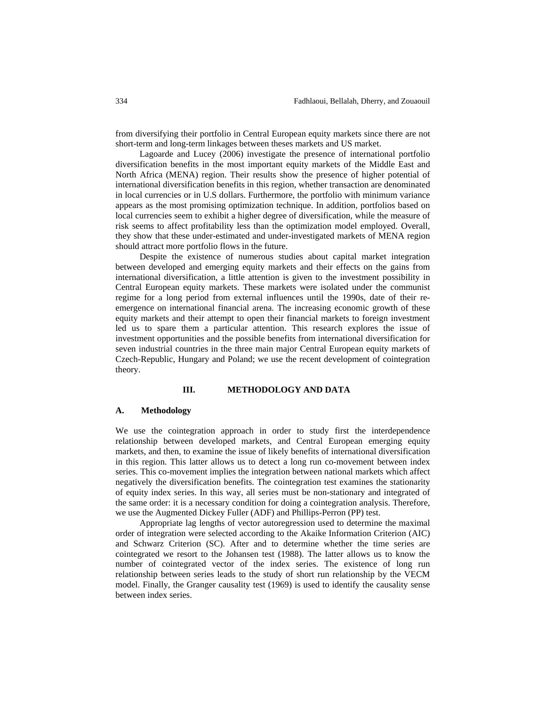from diversifying their portfolio in Central European equity markets since there are not short-term and long-term linkages between theses markets and US market.

Lagoarde and Lucey (2006) investigate the presence of international portfolio diversification benefits in the most important equity markets of the Middle East and North Africa (MENA) region. Their results show the presence of higher potential of international diversification benefits in this region, whether transaction are denominated in local currencies or in U.S dollars. Furthermore, the portfolio with minimum variance appears as the most promising optimization technique. In addition, portfolios based on local currencies seem to exhibit a higher degree of diversification, while the measure of risk seems to affect profitability less than the optimization model employed. Overall, they show that these under-estimated and under-investigated markets of MENA region should attract more portfolio flows in the future.

Despite the existence of numerous studies about capital market integration between developed and emerging equity markets and their effects on the gains from international diversification, a little attention is given to the investment possibility in Central European equity markets. These markets were isolated under the communist regime for a long period from external influences until the 1990s, date of their reemergence on international financial arena. The increasing economic growth of these equity markets and their attempt to open their financial markets to foreign investment led us to spare them a particular attention. This research explores the issue of investment opportunities and the possible benefits from international diversification for seven industrial countries in the three main major Central European equity markets of Czech-Republic, Hungary and Poland; we use the recent development of cointegration theory.

### **III. METHODOLOGY AND DATA**

### **A. Methodology**

We use the cointegration approach in order to study first the interdependence relationship between developed markets, and Central European emerging equity markets, and then, to examine the issue of likely benefits of international diversification in this region. This latter allows us to detect a long run co-movement between index series. This co-movement implies the integration between national markets which affect negatively the diversification benefits. The cointegration test examines the stationarity of equity index series. In this way, all series must be non-stationary and integrated of the same order: it is a necessary condition for doing a cointegration analysis. Therefore, we use the Augmented Dickey Fuller (ADF) and Phillips-Perron (PP) test.

Appropriate lag lengths of vector autoregression used to determine the maximal order of integration were selected according to the Akaike Information Criterion (AIC) and Schwarz Criterion (SC). After and to determine whether the time series are cointegrated we resort to the Johansen test (1988). The latter allows us to know the number of cointegrated vector of the index series. The existence of long run relationship between series leads to the study of short run relationship by the VECM model. Finally, the Granger causality test (1969) is used to identify the causality sense between index series.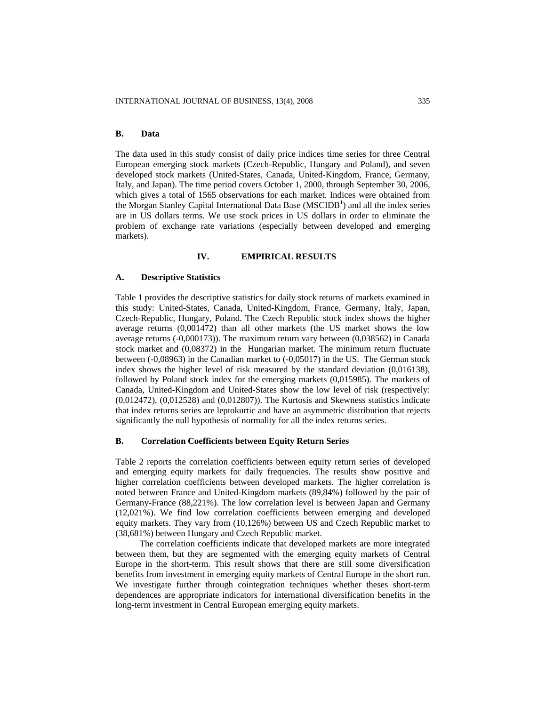# **B. Data**

The data used in this study consist of daily price indices time series for three Central European emerging stock markets (Czech-Republic, Hungary and Poland), and seven developed stock markets (United-States, Canada, United-Kingdom, France, Germany, Italy, and Japan). The time period covers October 1, 2000, through September 30, 2006, which gives a total of 1565 observations for each market. Indices were obtained from the Morgan Stanley Capital International Data Base (MSCIDB<sup>1</sup>) and all the index series are in US dollars terms. We use stock prices in US dollars in order to eliminate the problem of exchange rate variations (especially between developed and emerging markets).

### **IV. EMPIRICAL RESULTS**

#### **A. Descriptive Statistics**

Table 1 provides the descriptive statistics for daily stock returns of markets examined in this study: United-States, Canada, United-Kingdom, France, Germany, Italy, Japan, Czech-Republic, Hungary, Poland. The Czech Republic stock index shows the higher average returns (0,001472) than all other markets (the US market shows the low average returns (-0,000173)). The maximum return vary between (0,038562) in Canada stock market and (0,08372) in the Hungarian market. The minimum return fluctuate between (-0,08963) in the Canadian market to (-0,05017) in the US. The German stock index shows the higher level of risk measured by the standard deviation (0,016138), followed by Poland stock index for the emerging markets (0,015985). The markets of Canada, United-Kingdom and United-States show the low level of risk (respectively: (0,012472), (0,012528) and (0,012807)). The Kurtosis and Skewness statistics indicate that index returns series are leptokurtic and have an asymmetric distribution that rejects significantly the null hypothesis of normality for all the index returns series.

# **B. Correlation Coefficients between Equity Return Series**

Table 2 reports the correlation coefficients between equity return series of developed and emerging equity markets for daily frequencies. The results show positive and higher correlation coefficients between developed markets. The higher correlation is noted between France and United-Kingdom markets (89,84%) followed by the pair of Germany-France (88,221%). The low correlation level is between Japan and Germany (12,021%). We find low correlation coefficients between emerging and developed equity markets. They vary from (10,126%) between US and Czech Republic market to (38,681%) between Hungary and Czech Republic market.

The correlation coefficients indicate that developed markets are more integrated between them, but they are segmented with the emerging equity markets of Central Europe in the short-term. This result shows that there are still some diversification benefits from investment in emerging equity markets of Central Europe in the short run. We investigate further through cointegration techniques whether theses short-term dependences are appropriate indicators for international diversification benefits in the long-term investment in Central European emerging equity markets.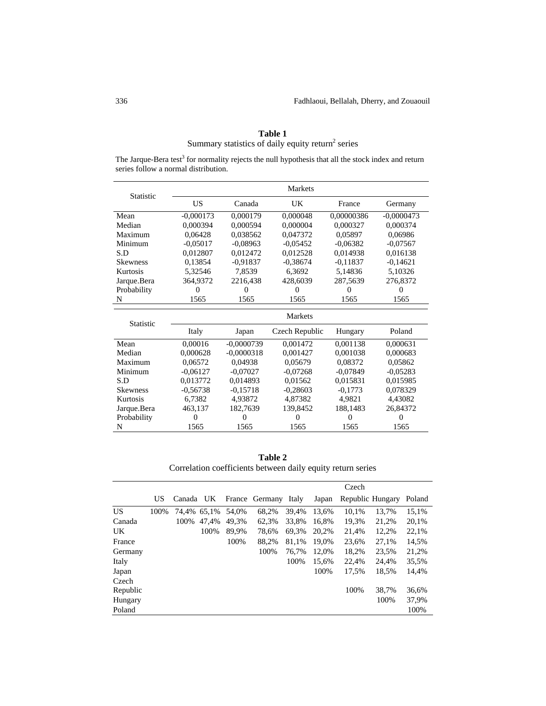| series follow a normal distribution. |             |              |                |            |              |  |
|--------------------------------------|-------------|--------------|----------------|------------|--------------|--|
| <b>Statistic</b>                     |             |              | Markets        |            |              |  |
|                                      | <b>US</b>   | Canada       | UK             | France     | Germany      |  |
| Mean                                 | $-0,000173$ | 0.000179     | 0.000048       | 0.00000386 | $-0,0000473$ |  |
| Median                               | 0,000394    | 0,000594     | 0,000004       | 0,000327   | 0,000374     |  |
| Maximum                              | 0.06428     | 0.038562     | 0.047372       | 0.05897    | 0.06986      |  |
| Minimum                              | $-0.05017$  | $-0.08963$   | $-0,05452$     | $-0.06382$ | $-0.07567$   |  |
| S.D                                  | 0.012807    | 0.012472     | 0.012528       | 0.014938   | 0.016138     |  |
| <b>Skewness</b>                      | 0,13854     | $-0.91837$   | $-0,38674$     | $-0,11837$ | $-0,14621$   |  |
| Kurtosis                             | 5,32546     | 7,8539       | 6,3692         | 5,14836    | 5,10326      |  |
| Jarque.Bera                          | 364,9372    | 2216,438     | 428,6039       | 287.5639   | 276,8372     |  |
| Probability                          | $\Omega$    | $\Omega$     | $\Omega$       | 0          | $\Omega$     |  |
| N                                    | 1565        | 1565         | 1565           | 1565       | 1565         |  |
| Statistic                            |             |              | <b>Markets</b> |            |              |  |
|                                      | Italy       | Japan        | Czech Republic | Hungary    | Poland       |  |
| Mean                                 | 0,00016     | $-0.0000739$ | 0.001472       | 0,001138   | 0,000631     |  |
| Median                               | 0.000628    | $-0.0000318$ | 0.001427       | 0,001038   | 0,000683     |  |
| Maximum                              | 0.06572     | 0.04938      | 0.05679        | 0.08372    | 0.05862      |  |
| Minimum                              | $-0,06127$  | $-0,07027$   | $-0.07268$     | $-0,07849$ | $-0.05283$   |  |
| S.D                                  | 0,013772    | 0,014893     | 0,01562        | 0,015831   | 0.015985     |  |
| <b>Skewness</b>                      | $-0.56738$  | $-0.15718$   | $-0.28603$     | $-0.1773$  | 0.078329     |  |
| Kurtosis                             | 6,7382      | 4,93872      | 4,87382        | 4,9821     | 4,43082      |  |
| Jarque.Bera                          | 463,137     | 182,7639     | 139,8452       | 188,1483   | 26,84372     |  |
| Probability                          | $\Omega$    | 0            | 0              | $\Omega$   | $\Omega$     |  |
| N                                    | 1565        | 1565         | 1565           | 1565       | 1565         |  |

**Table 1**  Summary statistics of daily equity return<sup>2</sup> series

The Jarque-Bera test<sup>3</sup> for normality rejects the null hypothesis that all the stock index and return series follow a normal distribution.

**Table 2**  Correlation coefficients between daily equity return series

|          |      |           |             |       |                |       |       | Czech            |       |        |
|----------|------|-----------|-------------|-------|----------------|-------|-------|------------------|-------|--------|
|          | US   | Canada UK |             |       | France Germany | Italy | Japan | Republic Hungary |       | Poland |
| US.      | 100% |           | 74.4% 65.1% | 54.0% | 68,2%          | 39.4% | 13.6% | 10.1%            | 13.7% | 15,1%  |
| Canada   |      | 100%      | 47.4%       | 49.3% | 62.3%          | 33.8% | 16.8% | 19.3%            | 21,2% | 20,1%  |
| UK.      |      |           | 100%        | 89,9% | 78,6%          | 69.3% | 20,2% | 21,4%            | 12,2% | 22,1%  |
| France   |      |           |             | 100%  | 88,2%          | 81.1% | 19.0% | 23,6%            | 27.1% | 14,5%  |
| Germany  |      |           |             |       | 100%           | 76.7% | 12.0% | 18,2%            | 23,5% | 21,2%  |
| Italy    |      |           |             |       |                | 100%  | 15.6% | 22.4%            | 24.4% | 35,5%  |
| Japan    |      |           |             |       |                |       | 100%  | 17,5%            | 18,5% | 14,4%  |
| Czech    |      |           |             |       |                |       |       |                  |       |        |
| Republic |      |           |             |       |                |       |       | 100%             | 38.7% | 36.6%  |
| Hungary  |      |           |             |       |                |       |       |                  | 100%  | 37,9%  |
| Poland   |      |           |             |       |                |       |       |                  |       | 100%   |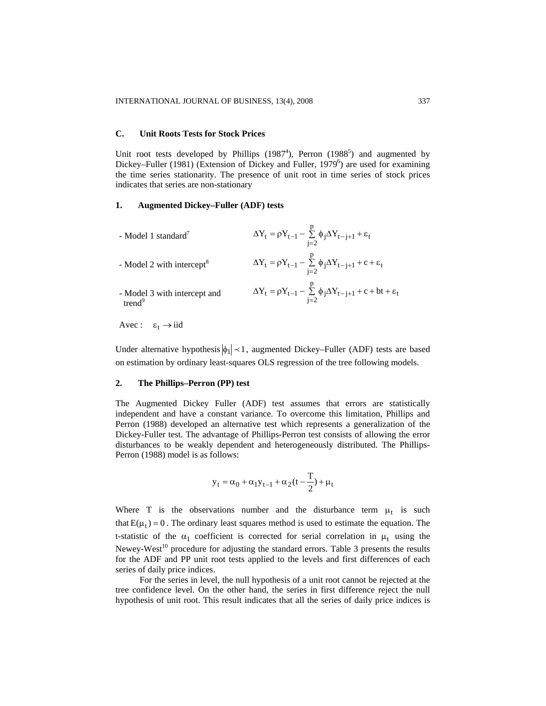#### **C. Unit Roots Tests for Stock Prices**

Unit root tests developed by Phillips  $(1987<sup>4</sup>)$ , Perron  $(1988<sup>5</sup>)$  and augmented by Dickey–Fuller (1981) (Extension of Dickey and Fuller, 1979<sup>6</sup>) are used for examining the time series stationarity. The presence of unit root in time series of stock prices indicates that series are non-stationary

# **1. Augmented Dickey–Fuller (ADF) tests**

| - Model 1 standard $'$                             | $\Delta Y_t = \rho Y_{t-1} - \sum_{i=2}^p \phi_j \Delta Y_{t-j+1} + \varepsilon_t$          |
|----------------------------------------------------|---------------------------------------------------------------------------------------------|
| - Model 2 with intercept <sup>8</sup>              | $\Delta Y_t = \rho Y_{t-1} - \sum_{i=2}^p \phi_j \Delta Y_{t-j+1} + c + \varepsilon_t$      |
| - Model 3 with intercept and<br>trend <sup>9</sup> | $\Delta Y_t = \rho Y_{t-1} - \sum_{i=2}^p \phi_i \Delta Y_{t-j+1} + c + bt + \varepsilon_t$ |

Avec :  $\varepsilon_t \to \text{iid}$ 

Under alternative hypothesis  $|\phi_1| \prec 1$ , augmented Dickey–Fuller (ADF) tests are based on estimation by ordinary least-squares OLS regression of the tree following models.

#### **2. The Phillips–Perron (PP) test**

The Augmented Dickey Fuller (ADF) test assumes that errors are statistically independent and have a constant variance. To overcome this limitation, Phillips and Perron (1988) developed an alternative test which represents a generalization of the Dickey-Fuller test. The advantage of Phillips-Perron test consists of allowing the error disturbances to be weakly dependent and heterogeneously distributed. The Phillips-Perron (1988) model is as follows:

$$
y_t = \alpha_0 + \alpha_1 y_{t-1} + \alpha_2 (t-\frac{T}{2}) + \mu_t
$$

Where T is the observations number and the disturbance term  $\mu_t$  is such that  $E(\mu_t) = 0$ . The ordinary least squares method is used to estimate the equation. The t-statistic of the  $\alpha_1$  coefficient is corrected for serial correlation in  $\mu_t$  using the Newey-West<sup>10</sup> procedure for adjusting the standard errors. Table 3 presents the results for the ADF and PP unit root tests applied to the levels and first differences of each series of daily price indices.

For the series in level, the null hypothesis of a unit root cannot be rejected at the tree confidence level. On the other hand, the series in first difference reject the null hypothesis of unit root. This result indicates that all the series of daily price indices is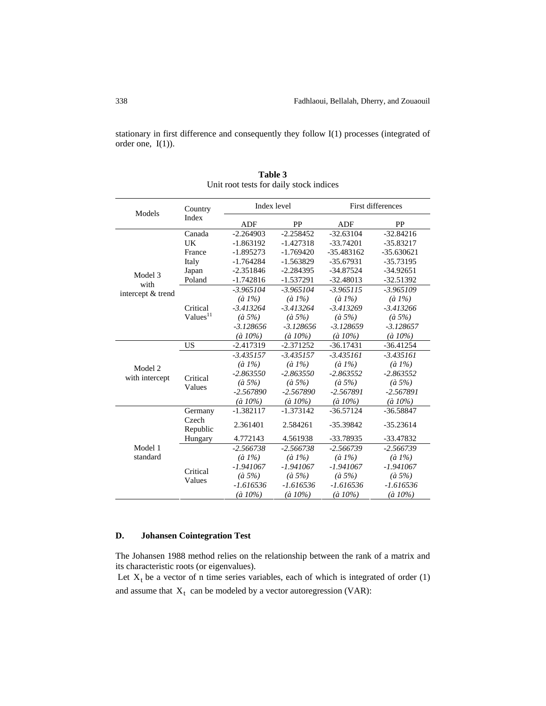stationary in first difference and consequently they follow I(1) processes (integrated of order one, I(1)).

| Models            | Country              | Index level       |                   | First differences |                   |  |
|-------------------|----------------------|-------------------|-------------------|-------------------|-------------------|--|
|                   | Index                | ADF               | PP                | ADF               | PP                |  |
|                   | Canada               | $-2.264903$       | $-2.258452$       | $-32.63104$       | $-32.84216$       |  |
|                   | UK                   | $-1.863192$       | $-1.427318$       | $-33.74201$       | $-35.83217$       |  |
|                   | France               | $-1.895273$       | $-1.769420$       | $-35.483162$      | $-35.630621$      |  |
|                   | Italy                | $-1.764284$       | $-1.563829$       | $-35.67931$       | -35.73195         |  |
| Model 3           | Japan                | $-2.351846$       | $-2.284395$       | $-34.87524$       | $-34.92651$       |  |
| with              | Poland               | $-1.742816$       | $-1.537291$       | $-32.48013$       | $-32.51392$       |  |
|                   |                      | $-3.965104$       | $-3.965104$       | $-3.965115$       | $-3.965109$       |  |
| intercept & trend |                      | $(\grave{a} 1\%)$ | $(\hat{a} 1\%)$   | $(\grave{a} 1\%)$ | $(\hat{a} 1\%)$   |  |
|                   | Critical             | $-3.413264$       | $-3.413264$       | $-3.413269$       | $-3.413266$       |  |
|                   | Values <sup>11</sup> | $(\hat{a} 5\%)$   | $(\hat{a} 5\%)$   | $(\hat{a} 5\%)$   | $(\hat{a} 5\%)$   |  |
|                   |                      | $-3.128656$       | $-3.128656$       | $-3.128659$       | $-3.128657$       |  |
|                   |                      | $(\hat{a} 10\%)$  | $(\hat{a} 10\%)$  | $(\hat{a} 10\%)$  | $(\hat{a} 10\%)$  |  |
|                   | <b>US</b>            | $-2.417319$       | $-2.371252$       | $-36.17431$       | $-36.41254$       |  |
|                   |                      | $-3.435157$       | $-3.435157$       | $-3.435161$       | $-3.435161$       |  |
| Model 2           |                      | $(\hat{a} 1\%)$   | $(\grave{a} 1\%)$ | $(\grave{a} 1\%)$ | $(\grave{a} 1\%)$ |  |
| with intercept    | Critical<br>Values   | $-2.863550$       | $-2.863550$       | $-2.863552$       | $-2.863552$       |  |
|                   |                      | $(\hat{a} 5\%)$   | $(\hat{a} 5\%)$   | $(\hat{a} 5\%)$   | $(\hat{a} 5\%)$   |  |
|                   |                      | $-2.567890$       | $-2.567890$       | $-2.567891$       | $-2.567891$       |  |
|                   |                      | $(\hat{a} 10\%)$  | $(\hat{a} 10\%)$  | $(\hat{a} 10\%)$  | $(\hat{a} 10\%)$  |  |
|                   | Germany              | $-1.382117$       | $-1.373142$       | $-36.57124$       | $-36.58847$       |  |
|                   | Czech<br>Republic    | 2.361401          | 2.584261          | -35.39842         | $-35.23614$       |  |
|                   | Hungary              | 4.772143          | 4.561938          | -33.78935         | -33.47832         |  |
| Model 1           |                      | $-2.566738$       | $-2.566738$       | $-2.566739$       | $-2.566739$       |  |
| standard          |                      | $(\grave{a} 1\%)$ | $(\hat{a} 1\%)$   | $(\grave{a} 1\%)$ | $(\grave{a} 1\%)$ |  |
|                   |                      | $-1.941067$       | $-1.941067$       | $-1.941067$       | $-1.941067$       |  |
|                   | Critical             | $(\hat{a} 5\%)$   | $(\hat{a} 5\%)$   | $(\hat{a} 5\%)$   | $(\hat{a} 5\%)$   |  |
|                   | Values               | $-1.616536$       | -1.616536         | $-1.616536$       | -1.616536         |  |
|                   |                      | $(\hat{a} 10\%)$  | $(\hat{a} 10\%)$  | $(\hat{a} 10\%)$  | $(\hat{a} 10\%)$  |  |

**Table 3**  Unit root tests for daily stock indices

# **D. Johansen Cointegration Test**

The Johansen 1988 method relies on the relationship between the rank of a matrix and its characteristic roots (or eigenvalues).

Let  $X_t$  be a vector of n time series variables, each of which is integrated of order (1) and assume that  $X_t$  can be modeled by a vector autoregression (VAR):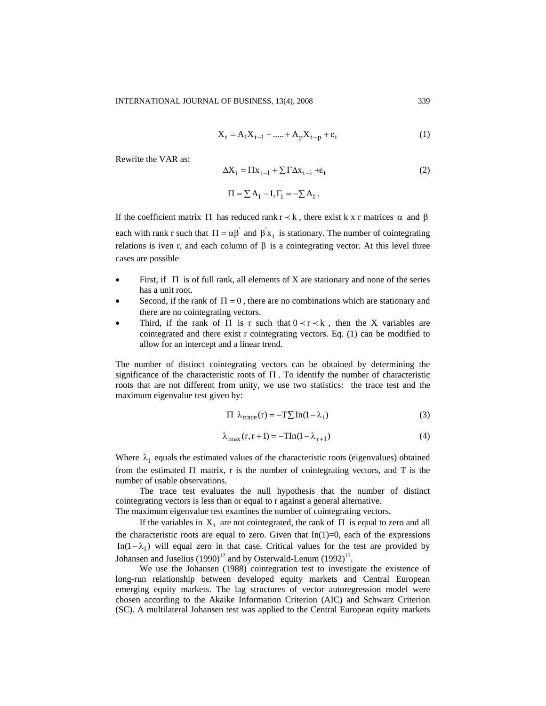$$
X_{t} = A_{1}X_{t-1} + \dots + A_{p}X_{t-p} + \varepsilon_{t}
$$
 (1)

Rewrite the VAR as:

$$
\Delta X_t = \Pi x_{t-1} + \sum \Gamma \Delta x_{t-i} + \varepsilon_t \tag{2}
$$

$$
\Pi = \sum A_i - I, \Gamma_i = -\sum A_i.
$$

If the coefficient matrix  $\Pi$  has reduced rank  $r \prec k$ , there exist k x r matrices  $\alpha$  and  $\beta$ each with rank r such that  $\Pi = \alpha \beta'$  and  $\beta' x_t$  is stationary. The number of cointegrating relations is iven r, and each column of  $\beta$  is a cointegrating vector. At this level three cases are possible

- First, if  $\Pi$  is of full rank, all elements of X are stationary and none of the series has a unit root.
- Second, if the rank of  $\Pi = 0$ , there are no combinations which are stationary and there are no cointegrating vectors.
- Third, if the rank of  $\Pi$  is r such that  $0 \lt r \lt k$ , then the X variables are cointegrated and there exist r cointegrating vectors. Eq. (1) can be modified to allow for an intercept and a linear trend.

The number of distinct cointegrating vectors can be obtained by determining the significance of the characteristic roots of  $\Pi$ . To identify the number of characteristic roots that are not different from unity, we use two statistics: the trace test and the maximum eigenvalue test given by:

$$
\Pi \lambda_{\text{trace}}(\mathbf{r}) = -\mathbf{T} \sum \ln(1 - \lambda_i) \tag{3}
$$

$$
\lambda_{\max}(r, r+1) = -\operatorname{TIn}(1 - \lambda_{r+1})\tag{4}
$$

Where  $\lambda_i$  equals the estimated values of the characteristic roots (eigenvalues) obtained from the estimated Π matrix, r is the number of cointegrating vectors, and T is the number of usable observations.

The trace test evaluates the null hypothesis that the number of distinct cointegrating vectors is less than or equal to r against a general alternative.

The maximum eigenvalue test examines the number of cointegrating vectors.

If the variables in  $X_t$  are not cointegrated, the rank of  $\Pi$  is equal to zero and all the characteristic roots are equal to zero. Given that  $In(1)=0$ , each of the expressions In(1 -  $\lambda_i$ ) will equal zero in that case. Critical values for the test are provided by Johansen and Juselius  $(1990)^{12}$  and by Osterwald-Lenum  $(1992)^{13}$ .

We use the Johansen (1988) cointegration test to investigate the existence of long-run relationship between developed equity markets and Central European emerging equity markets. The lag structures of vector autoregression model were chosen according to the Akaike Information Criterion (AIC) and Schwarz Criterion (SC). A multilateral Johansen test was applied to the Central European equity markets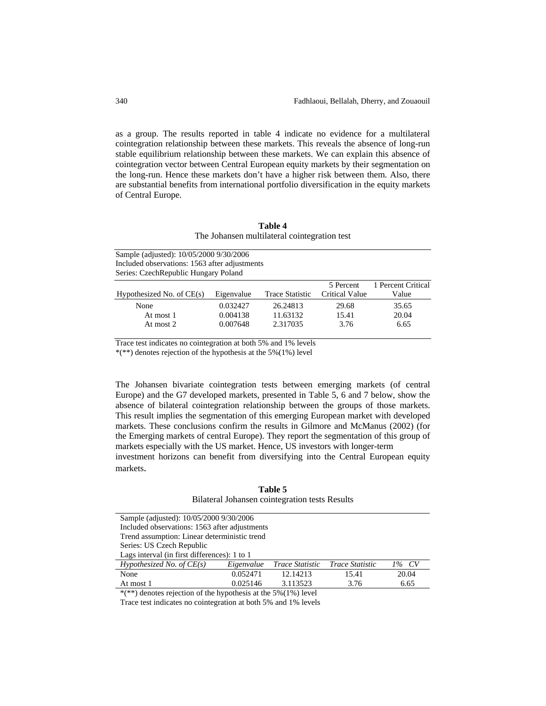as a group. The results reported in table 4 indicate no evidence for a multilateral cointegration relationship between these markets. This reveals the absence of long-run stable equilibrium relationship between these markets. We can explain this absence of cointegration vector between Central European equity markets by their segmentation on the long-run. Hence these markets don't have a higher risk between them. Also, there are substantial benefits from international portfolio diversification in the equity markets of Central Europe.

| Table 4                                      |
|----------------------------------------------|
| The Johansen multilateral cointegration test |

| Sample (adjusted): 10/05/2000 9/30/2006       |
|-----------------------------------------------|
| Included observations: 1563 after adjustments |
| Series: Czech Republic Hungary Poland         |

|                             |            |                 | 5 Percent      | 1 Percent Critical |
|-----------------------------|------------|-----------------|----------------|--------------------|
| Hypothesized No. of $CE(s)$ | Eigenvalue | Trace Statistic | Critical Value | Value              |
| None                        | 0.032427   | 26.24813        | 29.68          | 35.65              |
| At most 1                   | 0.004138   | 11.63132        | 15.41          | 20.04              |
| At most 2                   | 0.007648   | 2.317035        | 3.76           | 6.65               |

Trace test indicates no cointegration at both 5% and 1% levels

 $*(**)$  denotes rejection of the hypothesis at the 5%(1%) level

The Johansen bivariate cointegration tests between emerging markets (of central Europe) and the G7 developed markets, presented in Table 5, 6 and 7 below, show the absence of bilateral cointegration relationship between the groups of those markets. This result implies the segmentation of this emerging European market with developed markets. These conclusions confirm the results in Gilmore and McManus (2002) (for the Emerging markets of central Europe). They report the segmentation of this group of markets especially with the US market. Hence, US investors with longer-term

investment horizons can benefit from diversifying into the Central European equity markets.

# **Table 5**  Bilateral Johansen cointegration tests Results

| Sample (adjusted): 10/05/2000 9/30/2006                         |                                              |                        |                        |          |  |  |
|-----------------------------------------------------------------|----------------------------------------------|------------------------|------------------------|----------|--|--|
| Included observations: 1563 after adjustments                   |                                              |                        |                        |          |  |  |
|                                                                 | Trend assumption: Linear deterministic trend |                        |                        |          |  |  |
| Series: US Czech Republic                                       |                                              |                        |                        |          |  |  |
| Lags interval (in first differences): 1 to 1                    |                                              |                        |                        |          |  |  |
| Hypothesized No. of $CE(s)$                                     | Eigenvalue                                   | <i>Trace Statistic</i> | <i>Trace Statistic</i> | $1\%$ CV |  |  |
| None                                                            | 0.052471                                     | 12.14213               | 15.41                  | 20.04    |  |  |
| 0.025146<br>3.113523<br>At most 1<br>6.65<br>3.76               |                                              |                        |                        |          |  |  |
| $*(**)$ denotes rejection of the hypothesis at the 5%(1%) level |                                              |                        |                        |          |  |  |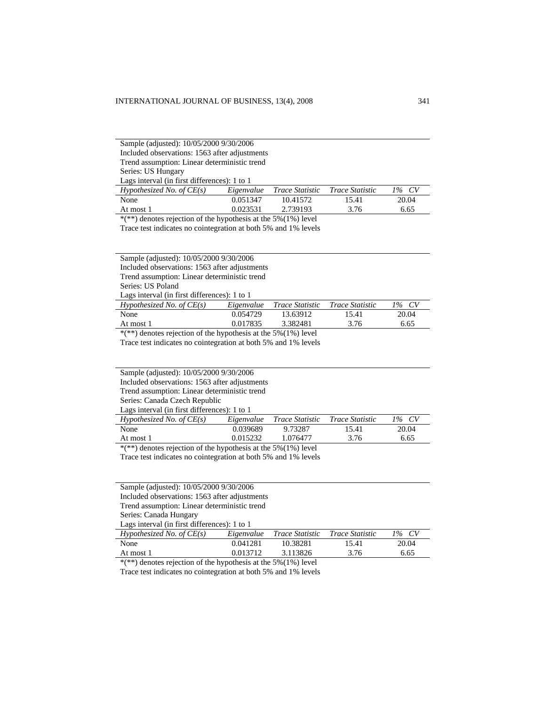|                                              | Sample (adjusted): 10/05/2000 9/30/2006       |                 |                 |          |  |  |  |
|----------------------------------------------|-----------------------------------------------|-----------------|-----------------|----------|--|--|--|
|                                              | Included observations: 1563 after adjustments |                 |                 |          |  |  |  |
| Trend assumption: Linear deterministic trend |                                               |                 |                 |          |  |  |  |
| Series: US Hungary                           |                                               |                 |                 |          |  |  |  |
| Lags interval (in first differences): 1 to 1 |                                               |                 |                 |          |  |  |  |
| Hypothesized No. of $CE(s)$                  | Eigenvalue                                    | Trace Statistic | Trace Statistic | $1\%$ CV |  |  |  |
| None                                         | 0.051347                                      | 10.41572        | 15.41           | 20.04    |  |  |  |
| At most 1                                    | 0.023531                                      | 2.739193        | 3.76            | 6.65     |  |  |  |
|                                              |                                               |                 |                 |          |  |  |  |

 $*(**)$  denotes rejection of the hypothesis at the 5%(1%) level

Trace test indicates no cointegration at both 5% and 1% levels

Sample (adjusted): 10/05/2000 9/30/2006

Included observations: 1563 after adjustments

Trend assumption: Linear deterministic trend

Series: US Poland

Lags interval (in first differences): 1 to 1

| Hypothesized No. of $CE(s)$                                                                                                      |          | Eigenvalue Trace Statistic Trace Statistic |       | $1\%$ CV |
|----------------------------------------------------------------------------------------------------------------------------------|----------|--------------------------------------------|-------|----------|
| None                                                                                                                             | 0.054729 | 13.63912                                   | 15.41 | 20.04    |
| At most 1                                                                                                                        | 0.017835 | 3.382481                                   | 3.76  | 6.65     |
| the contract of the contract of the contract of the contract of the contract of the contract of the contract of<br>$\sim$ $\sim$ |          |                                            |       |          |

\*(\*\*) denotes rejection of the hypothesis at the 5%(1%) level

Trace test indicates no cointegration at both 5% and 1% levels

Included observations: 1563 after adjustments

Trend assumption: Linear deterministic trend

Series: Canada Czech Republic Lags interval (in first differences): 1 to 1

| $\mathbf{L}$ a <sub>n</sub> o men van (in mot anterences). I to $\mathbf{L}$ |          |                            |                        |          |  |  |  |
|------------------------------------------------------------------------------|----------|----------------------------|------------------------|----------|--|--|--|
| Hypothesized No. of $CE(s)$                                                  |          | Eigenvalue Trace Statistic | <i>Trace Statistic</i> | $1\%$ CV |  |  |  |
| None                                                                         | 0.039689 | 9.73287                    | 15.41                  | 20.04    |  |  |  |
| At most 1                                                                    | 0.015232 | 1.076477                   | 3.76                   | 6.65     |  |  |  |
|                                                                              |          |                            |                        |          |  |  |  |

\*(\*\*) denotes rejection of the hypothesis at the 5%(1%) level

Trace test indicates no cointegration at both 5% and 1% levels

| Sample (adjusted): 10/05/2000 9/30/2006       |            |                        |                        |          |
|-----------------------------------------------|------------|------------------------|------------------------|----------|
| Included observations: 1563 after adjustments |            |                        |                        |          |
| Trend assumption: Linear deterministic trend  |            |                        |                        |          |
| Series: Canada Hungary                        |            |                        |                        |          |
| Lags interval (in first differences): 1 to 1  |            |                        |                        |          |
| Hypothesized No. of $CE(s)$                   | Eigenvalue | <i>Trace Statistic</i> | <i>Trace Statistic</i> | $1\%$ CV |
| None                                          | 0.041281   | 10.38281               | 15.41                  | 20.04    |
| At most 1                                     | 0.013712   | 3.113826               | 3.76                   | 6.65     |

 $*(**)$  denotes rejection of the hypothesis at the 5%(1%) level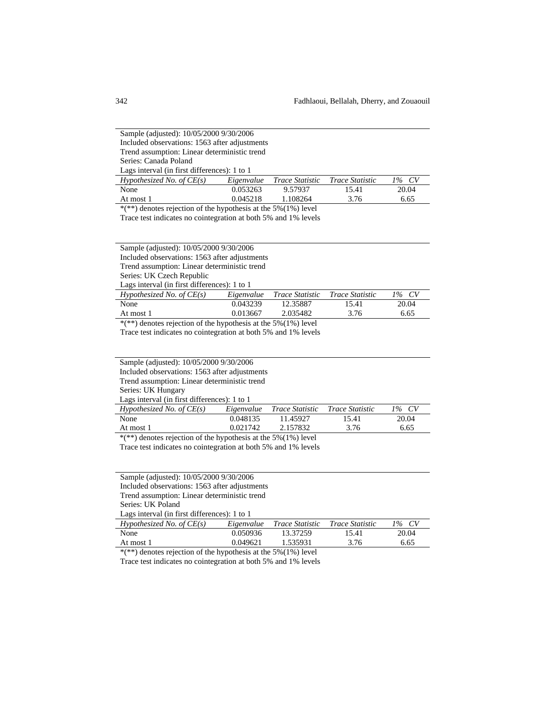Sample (adjusted): 10/05/2000 9/30/2006 Included observations: 1563 after adjustments Trend assumption: Linear deterministic trend Series: Canada Poland Lags interval (in first differences): 1 to 1

| Lags interval (in this differences). I to 1 |            |                                 |       |       |
|---------------------------------------------|------------|---------------------------------|-------|-------|
| Hypothesized No. of $CE(s)$                 | Eigenvalue | Trace Statistic Trace Statistic |       | 1% CV |
| None                                        | 0.053263   | 9.57937                         | 15.41 | 20.04 |
| At most 1                                   | 0.045218   | 1.108264                        | 3.76  | 6.65  |
|                                             |            | _________                       |       |       |

 $*(**)$  denotes rejection of the hypothesis at the 5%(1%) level

Trace test indicates no cointegration at both 5% and 1% levels

Sample (adjusted): 10/05/2000 9/30/2006

Included observations: 1563 after adjustments

Trend assumption: Linear deterministic trend

Series: UK Czech Republic

Lags interval (in first differences): 1 to 1

| Hypothesized No. of $CE(s)$                                                 | Eigenvalue | Trace Statistic | <i>Trace Statistic</i> | $1\%$ CV |
|-----------------------------------------------------------------------------|------------|-----------------|------------------------|----------|
| None                                                                        | 0.043239   | 12.35887        | 15.41                  | 20.04    |
| At most 1                                                                   | 0.013667   | 2.035482        | 3.76                   | 6.65     |
| $\frac{k}{x+1}$ denotes rejection of the hypothesis et the $50/(10k)$ level |            |                 |                        |          |

 $*(**)$  denotes rejection of the hypothesis at the 5% $(1%)$  level Trace test indicates no cointegration at both 5% and 1% levels

Sample (adjusted): 10/05/2000 9/30/2006

Included observations: 1563 after adjustments

Trend assumption: Linear deterministic trend

Series: UK Hungary

Lags interval (in first differences): 1 to 1

| Hypothesized No. of $CE(s)$                                       | Eigenvalue | Trace Statistic Trace Statistic |       | 1% CV |  |
|-------------------------------------------------------------------|------------|---------------------------------|-------|-------|--|
| None                                                              | 0.048135   | 11.45927                        | 15.41 | 20.04 |  |
| At most 1                                                         | 0.021742   | 2.157832                        | 3.76  | 6.65  |  |
| *(**) denotes rejection of the hypothesis at the $5\%(1\%)$ level |            |                                 |       |       |  |

Trace test indicates no cointegration at both 5% and 1% levels

Included observations: 1563 after adjustments

Trend assumption: Linear deterministic trend

Series: UK Poland

l,

Lags interval (in first differences): 1 to 1

| Hypothesized No. of $CE(s)$ | Eigenvalue | <i>Trace Statistic</i> | <i>Trace Statistic</i> | 1% CV |
|-----------------------------|------------|------------------------|------------------------|-------|
| None                        | 0.050936   | 13.37259               | 15.41                  | 20.04 |
| At most 1                   | 0.049621   | 1.535931               | 3.76                   | 6.65  |

 $*(**)$  denotes rejection of the hypothesis at the 5%(1%) level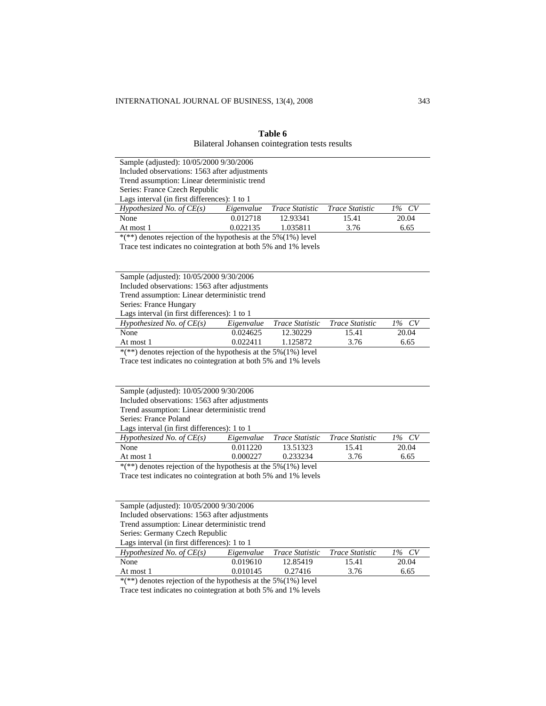| Sample (adjusted): 10/05/2000 9/30/2006                           |            |                 |                        |       |
|-------------------------------------------------------------------|------------|-----------------|------------------------|-------|
| Included observations: 1563 after adjustments                     |            |                 |                        |       |
| Trend assumption: Linear deterministic trend                      |            |                 |                        |       |
| Series: France Czech Republic                                     |            |                 |                        |       |
| Lags interval (in first differences): 1 to 1                      |            |                 |                        |       |
| Hypothesized No. of $CE(s)$                                       | Eigenvalue | Trace Statistic | <i>Trace Statistic</i> | 1% CV |
| None                                                              | 0.012718   | 12.93341        | 15.41                  | 20.04 |
| At most 1                                                         | 0.022135   | 1.035811        | 3.76                   | 6.65  |
| *(**) denotes rejection of the hypothesis at the $5\%(1\%)$ level |            |                 |                        |       |
| Trace test indicates no cointegration at both 5% and 1% levels    |            |                 |                        |       |
|                                                                   |            |                 |                        |       |
|                                                                   |            |                 |                        |       |

**Table 6**  Bilateral Johansen cointegration tests results

| Trend assumption: Linear deterministic trend |            |                                 |       |          |
|----------------------------------------------|------------|---------------------------------|-------|----------|
| Series: France Hungary                       |            |                                 |       |          |
| Lags interval (in first differences): 1 to 1 |            |                                 |       |          |
| Hypothesized No. of $CE(s)$                  | Eigenvalue | Trace Statistic Trace Statistic |       | $1\%$ CV |
| None                                         | 0.024625   | 12.30229                        | 15.41 | 20.04    |
| At most 1                                    | 0.022411   | 1.125872                        | 3.76  | 6.65     |

\*(\*\*) denotes rejection of the hypothesis at the 5%(1%) level

Sample (adjusted): 10/05/2000 9/30/2006 Included observations: 1563 after adjustments

Trace test indicates no cointegration at both 5% and 1% levels

| Sample (adjusted): 10/05/2000 9/30/2006                         |                                              |                                 |       |          |  |  |
|-----------------------------------------------------------------|----------------------------------------------|---------------------------------|-------|----------|--|--|
| Included observations: 1563 after adjustments                   |                                              |                                 |       |          |  |  |
| Trend assumption: Linear deterministic trend                    |                                              |                                 |       |          |  |  |
| Series: France Poland                                           |                                              |                                 |       |          |  |  |
|                                                                 | Lags interval (in first differences): 1 to 1 |                                 |       |          |  |  |
| Hypothesized No. of $CE(s)$                                     | Eigenvalue                                   | Trace Statistic Trace Statistic |       | $1\%$ CV |  |  |
| None                                                            | 0.011220                                     | 13.51323                        | 15.41 | 20.04    |  |  |
| At most 1                                                       | 0.000227                                     | 0.233234                        | 3.76  | 6.65     |  |  |
| $*(**)$ denotes rejection of the hypothesis at the 5%(1%) level |                                              |                                 |       |          |  |  |

Trace test indicates no cointegration at both 5% and 1% levels

Sample (adjusted): 10/05/2000 9/30/2006 Included observations: 1563 after adjustments

Trend assumption: Linear deterministic trend

Series: Germany Czech Republic

Lags interval (in first differences): 1 to 1 *Hypothesized No. of CE(s) Eigenvalue Trace Statistic Trace Statistic 1% CV* None 0.019610 12.85419 15.41 20.04 At most 1 0.010145 0.27416 3.76 6.65

 $*(**)$  denotes rejection of the hypothesis at the 5%(1%) level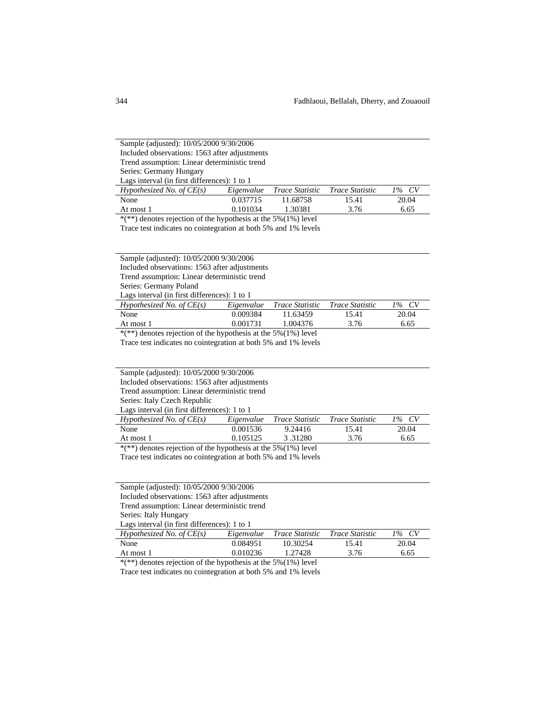| Sample (adjusted): 10/05/2000 9/30/2006                                                                   |          |          |       |       |  |
|-----------------------------------------------------------------------------------------------------------|----------|----------|-------|-------|--|
| Included observations: 1563 after adjustments                                                             |          |          |       |       |  |
| Trend assumption: Linear deterministic trend                                                              |          |          |       |       |  |
| Series: Germany Hungary                                                                                   |          |          |       |       |  |
| Lags interval (in first differences): 1 to 1                                                              |          |          |       |       |  |
| Hypothesized No. of $CE(s)$<br>Eigenvalue<br><i>Trace Statistic</i><br>$1\%$ CV<br><i>Trace Statistic</i> |          |          |       |       |  |
| None                                                                                                      | 0.037715 | 11.68758 | 15.41 | 20.04 |  |
| At most 1                                                                                                 | 0.101034 | 1.30381  | 3.76  | 6.65  |  |

 $*(**)$  denotes rejection of the hypothesis at the 5%(1%) level

Trace test indicates no cointegration at both 5% and 1% levels

Sample (adjusted): 10/05/2000 9/30/2006

Included observations: 1563 after adjustments

Trend assumption: Linear deterministic trend

Series: Germany Poland

Lags interval (in first differences): 1 to 1

| Hypothesized No. of $CE(s)$ | Eigenvalue | Trace Statistic | <i>Trace Statistic</i> | $1\%$ CV |
|-----------------------------|------------|-----------------|------------------------|----------|
| None                        | 0.009384   | 11.63459        | 15.41                  | 20.04    |
| At most 1                   | 0.001731   | 1.004376        | 3.76                   | 6.65     |
|                             |            | ___________     |                        |          |

\*(\*\*) denotes rejection of the hypothesis at the 5%(1%) level

Trace test indicates no cointegration at both 5% and 1% levels

|  | Sample (adjusted): 10/05/2000 9/30/2006 |  |
|--|-----------------------------------------|--|
|  |                                         |  |

Included observations: 1563 after adjustments

Trend assumption: Linear deterministic trend

Series: Italy Czech Republic Lags interval (in first differences): 1 to 1

| $L_{\text{max}}$ must van $\{\text{m} \text{ must antercives}\}\$ . The $\frac{1}{\sqrt{2}}$ |          |                            |                 |          |  |
|----------------------------------------------------------------------------------------------|----------|----------------------------|-----------------|----------|--|
| Hypothesized No. of $CE(s)$                                                                  |          | Eigenvalue Trace Statistic | Trace Statistic | $1\%$ CV |  |
| None                                                                                         | 0.001536 | 9.24416                    | 15.41           | 20.04    |  |
| At most 1                                                                                    | 0.105125 | 3.31280                    | 3.76            | 6.65     |  |
|                                                                                              |          |                            |                 |          |  |

\*(\*\*) denotes rejection of the hypothesis at the 5%(1%) level

Trace test indicates no cointegration at both 5% and 1% levels

| Sample (adjusted): 10/05/2000 9/30/2006       |
|-----------------------------------------------|
| Included observations: 1563 after adjustments |
| Trend assumption: Linear deterministic trend  |

Series: Italy Hungary

Lags interval (in first differences): 1 to 1

| Hypothesized No. of $CE(s)$ |          | Eigenvalue Trace Statistic | <i>Trace Statistic</i> | $1\%$ CV |
|-----------------------------|----------|----------------------------|------------------------|----------|
| None                        | 0.084951 | 10.30254                   | 15.41                  | 20.04    |
| At most 1                   | 0.010236 | 1.27428                    | 3.76                   | 6.65     |
|                             | .        | ---------                  |                        |          |

 $*(**)$  denotes rejection of the hypothesis at the 5%(1%) level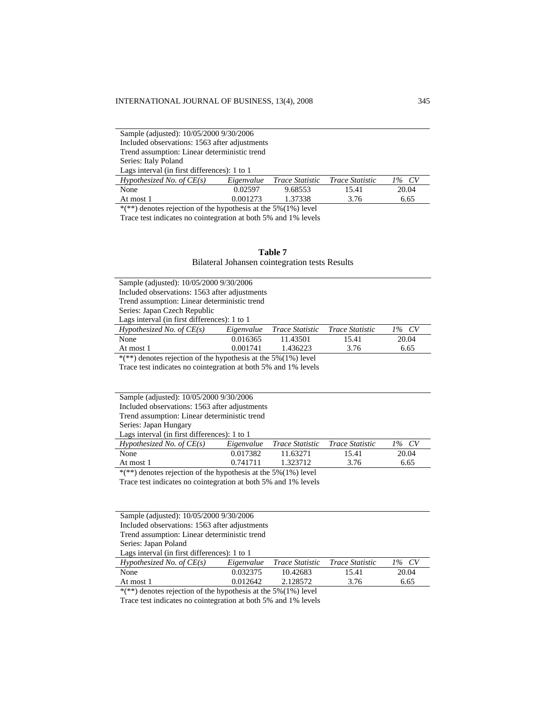| Sample (adjusted): 10/05/2000 9/30/2006      |                                               |                        |                        |          |  |
|----------------------------------------------|-----------------------------------------------|------------------------|------------------------|----------|--|
|                                              | Included observations: 1563 after adjustments |                        |                        |          |  |
| Trend assumption: Linear deterministic trend |                                               |                        |                        |          |  |
| Series: Italy Poland                         |                                               |                        |                        |          |  |
| Lags interval (in first differences): 1 to 1 |                                               |                        |                        |          |  |
| Hypothesized No. of $CE(s)$                  | Eigenvalue                                    | <i>Trace Statistic</i> | <i>Trace Statistic</i> | $1\%$ CV |  |
| None                                         | 0.02597                                       | 9.68553                | 15.41                  | 20.04    |  |
| At most 1                                    | 0.001273                                      | 1.37338                | 3.76                   | 6.65     |  |

\*(\*\*) denotes rejection of the hypothesis at the 5%(1%) level

Trace test indicates no cointegration at both 5% and 1% levels

|                                                | Table 7 |  |
|------------------------------------------------|---------|--|
| Bilateral Johansen cointegration tests Results |         |  |

|                                                                   | Sample (adjusted): 10/05/2000 9/30/2006       |                        |                        |          |  |  |
|-------------------------------------------------------------------|-----------------------------------------------|------------------------|------------------------|----------|--|--|
|                                                                   | Included observations: 1563 after adjustments |                        |                        |          |  |  |
|                                                                   | Trend assumption: Linear deterministic trend  |                        |                        |          |  |  |
| Series: Japan Czech Republic                                      |                                               |                        |                        |          |  |  |
| Lags interval (in first differences): 1 to 1                      |                                               |                        |                        |          |  |  |
| Hypothesized No. of $CE(s)$                                       | Eigenvalue                                    | <i>Trace Statistic</i> | <i>Trace Statistic</i> | $1\%$ CV |  |  |
| None                                                              | 0.016365                                      | 11.43501               | 15.41                  | 20.04    |  |  |
| At most 1                                                         | 0.001741                                      | 1.436223               | 3.76                   | 6.65     |  |  |
| *(**) denotes rejection of the hypothesis at the $5\%(1\%)$ level |                                               |                        |                        |          |  |  |

Trace test indicates no cointegration at both 5% and 1% levels

|                                              | Sample (adjusted): 10/05/2000 9/30/2006       |            |                                 |       |                         |  |
|----------------------------------------------|-----------------------------------------------|------------|---------------------------------|-------|-------------------------|--|
|                                              | Included observations: 1563 after adjustments |            |                                 |       |                         |  |
|                                              | Trend assumption: Linear deterministic trend  |            |                                 |       |                         |  |
|                                              | Series: Japan Hungary                         |            |                                 |       |                         |  |
| Lags interval (in first differences): 1 to 1 |                                               |            |                                 |       |                         |  |
|                                              | Hypothesized No. of $CE(s)$                   | Eigenvalue | Trace Statistic Trace Statistic |       | CV <sub></sub><br>$1\%$ |  |
|                                              | None                                          | 0.017382   | 11.632.71                       | 15.41 | 20.04                   |  |

At most 1 0.741711 1.323712 3.76 6.65

\*(\*\*) denotes rejection of the hypothesis at the 5%(1%) level

Trace test indicates no cointegration at both 5% and 1% levels

| Sample (adjusted): 10/05/2000 9/30/2006       |            |                        |                        |          |  |
|-----------------------------------------------|------------|------------------------|------------------------|----------|--|
| Included observations: 1563 after adjustments |            |                        |                        |          |  |
| Trend assumption: Linear deterministic trend  |            |                        |                        |          |  |
| Series: Japan Poland                          |            |                        |                        |          |  |
| Lags interval (in first differences): 1 to 1  |            |                        |                        |          |  |
| Hypothesized No. of $CE(s)$                   | Eigenvalue | <i>Trace Statistic</i> | <i>Trace Statistic</i> | $1\%$ CV |  |
| None                                          | 0.032375   | 10.42683               | 15.41                  | 20.04    |  |
| At most 1                                     | 0.012642   | 2.128572               | 3.76                   | 6.65     |  |

\*(\*\*) denotes rejection of the hypothesis at the 5%(1%) level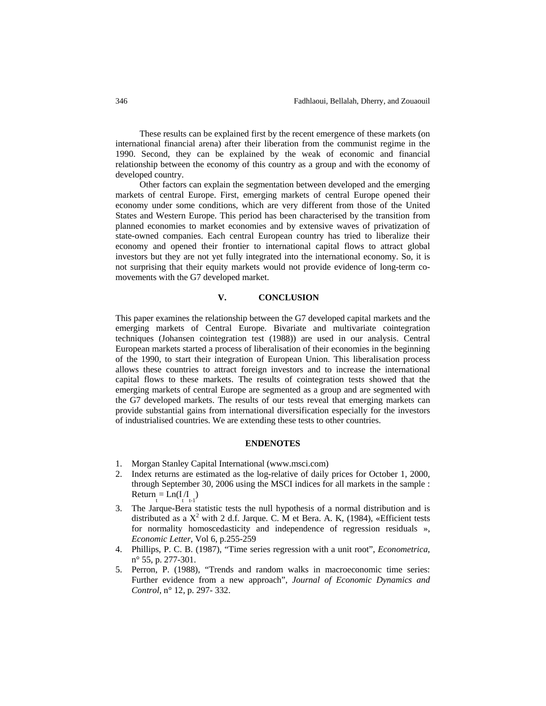These results can be explained first by the recent emergence of these markets (on international financial arena) after their liberation from the communist regime in the 1990. Second, they can be explained by the weak of economic and financial relationship between the economy of this country as a group and with the economy of developed country.

Other factors can explain the segmentation between developed and the emerging markets of central Europe. First, emerging markets of central Europe opened their economy under some conditions, which are very different from those of the United States and Western Europe. This period has been characterised by the transition from planned economies to market economies and by extensive waves of privatization of state-owned companies. Each central European country has tried to liberalize their economy and opened their frontier to international capital flows to attract global investors but they are not yet fully integrated into the international economy. So, it is not surprising that their equity markets would not provide evidence of long-term comovements with the G7 developed market.

#### **V. CONCLUSION**

This paper examines the relationship between the G7 developed capital markets and the emerging markets of Central Europe. Bivariate and multivariate cointegration techniques (Johansen cointegration test (1988)) are used in our analysis. Central European markets started a process of liberalisation of their economies in the beginning of the 1990, to start their integration of European Union. This liberalisation process allows these countries to attract foreign investors and to increase the international capital flows to these markets. The results of cointegration tests showed that the emerging markets of central Europe are segmented as a group and are segmented with the G7 developed markets. The results of our tests reveal that emerging markets can provide substantial gains from international diversification especially for the investors of industrialised countries. We are extending these tests to other countries.

#### **ENDENOTES**

- 1. Morgan Stanley Capital International (www.msci.com)
- 2. Index returns are estimated as the log-relative of daily prices for October 1, 2000, through September 30, 2006 using the MSCI indices for all markets in the sample :  $Return_{t} = Ln(I/I_{t-1})$
- 3. The Jarque-Bera statistic tests the null hypothesis of a normal distribution and is distributed as a  $X^2$  with 2 d.f. Jarque. C. M et Bera. A. K, (1984), «Efficient tests for normality homoscedasticity and independence of regression residuals », *Economic Letter*, Vol 6, p.255-259
- 4. Phillips, P. C. B. (1987), "Time series regression with a unit root", *Econometrica*, n° 55, p. 277-301.
- 5. Perron, P. (1988), "Trends and random walks in macroeconomic time series: Further evidence from a new approach", *Journal of Economic Dynamics and Control*, n° 12, p. 297- 332.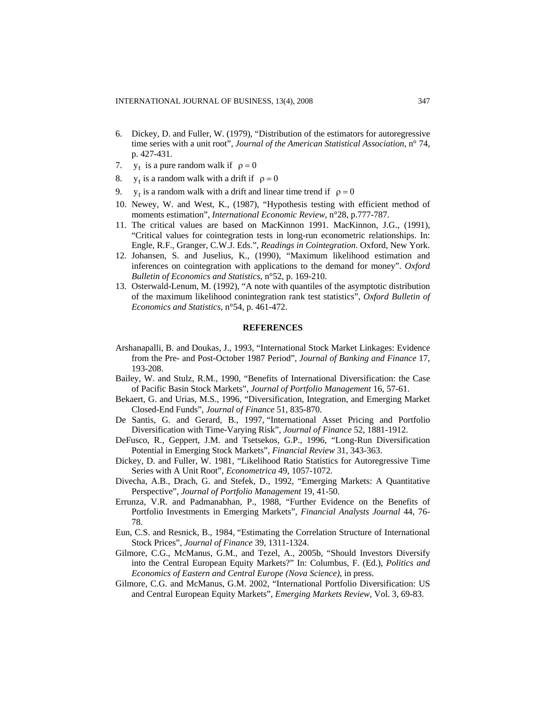- 6. Dickey, D. and Fuller, W. (1979), "Distribution of the estimators for autoregressive time series with a unit root", *Journal of the American Statistical Association*, n° 74, p. 427-431.
- 7.  $y_t$  is a pure random walk if  $\rho = 0$
- 8.  $y_t$  is a random walk with a drift if  $\rho = 0$
- 9.  $y_t$  is a random walk with a drift and linear time trend if  $p = 0$
- 10. Newey, W. and West, K., (1987), "Hypothesis testing with efficient method of moments estimation", *International Economic Review*, n°28, p.777-787.
- 11. The critical values are based on MacKinnon 1991. MacKinnon, J.G., (1991), "Critical values for cointegration tests in long-run econometric relationships. In: Engle, R.F., Granger, C.W.J. Eds.", *Readings in Cointegration*. Oxford, New York.
- 12. Johansen, S. and Juselius, K., (1990), "Maximum likelihood estimation and inferences on cointegration with applications to the demand for money". *Oxford Bulletin of Economics and Statistics*, n°52, p. 169-210.
- 13. Osterwald-Lenum, M. (1992), "A note with quantiles of the asymptotic distribution of the maximum likelihood conintegration rank test statistics", *Oxford Bulletin of Economics and Statistics*, n°54, p. 461-472.

## **REFERENCES**

- Arshanapalli, B. and Doukas, J., 1993, "International Stock Market Linkages: Evidence from the Pre- and Post-October 1987 Period", *Journal of Banking and Finance* 17, 193-208.
- Bailey, W. and Stulz, R.M., 1990, "Benefits of International Diversification: the Case of Pacific Basin Stock Markets", *Journal of Portfolio Management* 16, 57-61.
- Bekaert, G. and Urias, M.S., 1996, "Diversification, Integration, and Emerging Market Closed-End Funds", *Journal of Finance* 51, 835-870.
- De Santis, G. and Gerard, B., 1997, "International Asset Pricing and Portfolio Diversification with Time-Varying Risk", *Journal of Finance* 52, 1881-1912.
- DeFusco, R., Geppert, J.M. and Tsetsekos, G.P., 1996, "Long-Run Diversification Potential in Emerging Stock Markets", *Financial Review* 31, 343-363.
- Dickey, D. and Fuller, W. 1981, "Likelihood Ratio Statistics for Autoregressive Time Series with A Unit Root", *Econometrica* 49, 1057-1072.
- Divecha, A.B., Drach, G. and Stefek, D., 1992, "Emerging Markets: A Quantitative Perspective", *Journal of Portfolio Management* 19, 41-50.
- Errunza, V.R. and Padmanabhan, P., 1988, "Further Evidence on the Benefits of Portfolio Investments in Emerging Markets", *Financial Analysts Journal* 44, 76- 78.
- Eun, C.S. and Resnick, B., 1984, "Estimating the Correlation Structure of International Stock Prices", *Journal of Finance* 39, 1311-1324.
- Gilmore, C.G., McManus, G.M., and Tezel, A., 2005b, "Should Investors Diversify into the Central European Equity Markets?" In: Columbus, F. (Ed.), *Politics and Economics of Eastern and Central Europe (Nova Science)*, in press.
- Gilmore, C.G. and McManus, G.M. 2002, "International Portfolio Diversification: US and Central European Equity Markets", *Emerging Markets Review*, Vol. 3, 69-83.